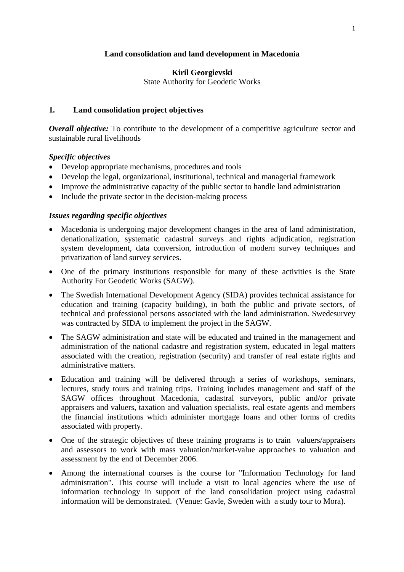# **Land consolidation and land development in Macedonia**

# **Kiril Georgievski**

State Authority for Geodetic Works

#### **1. Land consolidation project objectives**

*Overall objective:* To contribute to the development of a competitive agriculture sector and sustainable rural livelihoods

#### *Specific objectives*

- Develop appropriate mechanisms, procedures and tools
- Develop the legal, organizational, institutional, technical and managerial framework
- Improve the administrative capacity of the public sector to handle land administration
- Include the private sector in the decision-making process

# *Issues regarding specific objectives*

- Macedonia is undergoing major development changes in the area of land administration, denationalization, systematic cadastral surveys and rights adjudication, registration system development, data conversion, introduction of modern survey techniques and privatization of land survey services.
- One of the primary institutions responsible for many of these activities is the State Authority For Geodetic Works (SAGW).
- The Swedish International Development Agency (SIDA) provides technical assistance for education and training (capacity building), in both the public and private sectors, of technical and professional persons associated with the land administration. Swedesurvey was contracted by SIDA to implement the project in the SAGW.
- The SAGW administration and state will be educated and trained in the management and administration of the national cadastre and registration system, educated in legal matters associated with the creation, registration (security) and transfer of real estate rights and administrative matters.
- Education and training will be delivered through a series of workshops, seminars, lectures, study tours and training trips. Training includes management and staff of the SAGW offices throughout Macedonia, cadastral surveyors, public and/or private appraisers and valuers, taxation and valuation specialists, real estate agents and members the financial institutions which administer mortgage loans and other forms of credits associated with property.
- One of the strategic objectives of these training programs is to train valuers/appraisers and assessors to work with mass valuation/market-value approaches to valuation and assessment by the end of December 2006.
- Among the international courses is the course for "Information Technology for land administration". This course will include a visit to local agencies where the use of information technology in support of the land consolidation project using cadastral information will be demonstrated. (Venue: Gavle, Sweden with a study tour to Mora).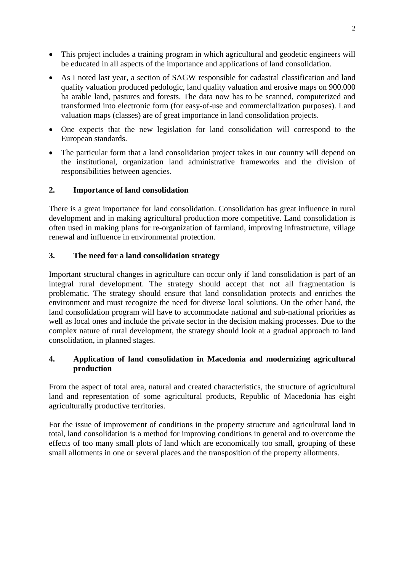- This project includes a training program in which agricultural and geodetic engineers will be educated in all aspects of the importance and applications of land consolidation.
- As I noted last year, a section of SAGW responsible for cadastral classification and land quality valuation produced pedologic, land quality valuation and erosive maps on 900.000 ha arable land, pastures and forests. The data now has to be scanned, computerized and transformed into electronic form (for easy-of-use and commercialization purposes). Land valuation maps (classes) are of great importance in land consolidation projects.
- One expects that the new legislation for land consolidation will correspond to the European standards.
- The particular form that a land consolidation project takes in our country will depend on the institutional, organization land administrative frameworks and the division of responsibilities between agencies.

# **2. Importance of land consolidation**

There is a great importance for land consolidation. Consolidation has great influence in rural development and in making agricultural production more competitive. Land consolidation is often used in making plans for re-organization of farmland, improving infrastructure, village renewal and influence in environmental protection.

# **3. The need for a land consolidation strategy**

Important structural changes in agriculture can occur only if land consolidation is part of an integral rural development. The strategy should accept that not all fragmentation is problematic. The strategy should ensure that land consolidation protects and enriches the environment and must recognize the need for diverse local solutions. On the other hand, the land consolidation program will have to accommodate national and sub-national priorities as well as local ones and include the private sector in the decision making processes. Due to the complex nature of rural development, the strategy should look at a gradual approach to land consolidation, in planned stages.

# **4. Application of land consolidation in Macedonia and modernizing agricultural production**

From the aspect of total area, natural and created characteristics, the structure of agricultural land and representation of some agricultural products, Republic of Macedonia has eight agriculturally productive territories.

For the issue of improvement of conditions in the property structure and agricultural land in total, land consolidation is a method for improving conditions in general and to overcome the effects of too many small plots of land which are economically too small, grouping of these small allotments in one or several places and the transposition of the property allotments.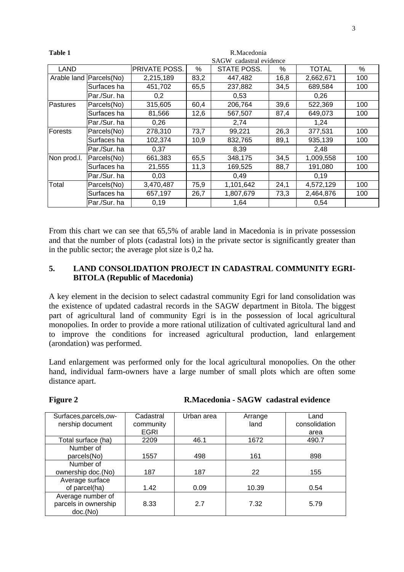| Table 1     |                         | R.Macedonia             |      |             |      |              |     |  |
|-------------|-------------------------|-------------------------|------|-------------|------|--------------|-----|--|
|             |                         | SAGW cadastral evidence |      |             |      |              |     |  |
| LAND        |                         | PRIVATE POSS.           | %    | STATE POSS. | %    | <b>TOTAL</b> | %   |  |
|             | Arable land Parcels(No) | 2,215,189               | 83,2 | 447,482     | 16,8 | 2,662,671    | 100 |  |
|             | Surfaces ha             | 451,702                 | 65,5 | 237,882     | 34,5 | 689,584      | 100 |  |
|             | Par./Sur. ha            | 0,2                     |      | 0,53        |      | 0,26         |     |  |
| Pastures    | Parcels(No)             | 315,605                 | 60,4 | 206,764     | 39,6 | 522,369      | 100 |  |
|             | Surfaces ha             | 81,566                  | 12,6 | 567,507     | 87,4 | 649,073      | 100 |  |
|             | Par./Sur. ha            | 0,26                    |      | 2,74        |      | 1,24         |     |  |
| Forests     | Parcels(No)             | 278,310                 | 73,7 | 99,221      | 26,3 | 377,531      | 100 |  |
|             | Surfaces ha             | 102,374                 | 10,9 | 832,765     | 89,1 | 935,139      | 100 |  |
|             | Par./Sur. ha            | 0,37                    |      | 8,39        |      | 2,48         |     |  |
| Non prod.l. | Parcels(No)             | 661,383                 | 65,5 | 348,175     | 34,5 | 1,009,558    | 100 |  |
|             | Surfaces ha             | 21,555                  | 11,3 | 169,525     | 88,7 | 191,080      | 100 |  |
|             | Par./Sur. ha            | 0,03                    |      | 0,49        |      | 0,19         |     |  |
| Total       | Parcels(No)             | 3,470,487               | 75,9 | 1,101,642   | 24,1 | 4,572,129    | 100 |  |
|             | Surfaces ha             | 657,197                 | 26,7 | 1,807,679   | 73,3 | 2,464,876    | 100 |  |
|             | Par./Sur. ha            | 0,19                    |      | 1,64        |      | 0.54         |     |  |

From this chart we can see that 65,5% of arable land in Macedonia is in private possession and that the number of plots (cadastral lots) in the private sector is significantly greater than in the public sector; the average plot size is 0,2 ha.

# **5. LAND CONSOLIDATION PROJECT IN CADASTRAL COMMUNITY EGRI-BITOLA (Republic of Macedonia)**

A key element in the decision to select cadastral community Egri for land consolidation was the existence of updated cadastral records in the SAGW department in Bitola. The biggest part of agricultural land of community Egri is in the possession of local agricultural monopolies. In order to provide a more rational utilization of cultivated agricultural land and to improve the conditions for increased agricultural production, land enlargement (arondation) was performed.

Land enlargement was performed only for the local agricultural monopolies. On the other hand, individual farm-owners have a large number of small plots which are often some distance apart.

**Figure 2 R.Macedonia - SAGW cadastral evidence** 

| Surfaces, parcels, ow- | Cadastral   | Urban area | Arrange | Land          |
|------------------------|-------------|------------|---------|---------------|
| nership document       | community   |            | land    | consolidation |
|                        | <b>EGRI</b> |            |         | area          |
| Total surface (ha)     | 2209        | 46.1       | 1672    | 490.7         |
| Number of              |             |            |         |               |
| parcels(No)            | 1557        | 498        | 161     | 898           |
| Number of              |             |            |         |               |
| ownership doc.(No)     | 187         | 187        | 22      | 155           |
| Average surface        |             |            |         |               |
| of parcel(ha)          | 1.42        | 0.09       | 10.39   | 0.54          |
| Average number of      |             |            |         |               |
| parcels in ownership   | 8.33        | 2.7        | 7.32    | 5.79          |
| doc.(No)               |             |            |         |               |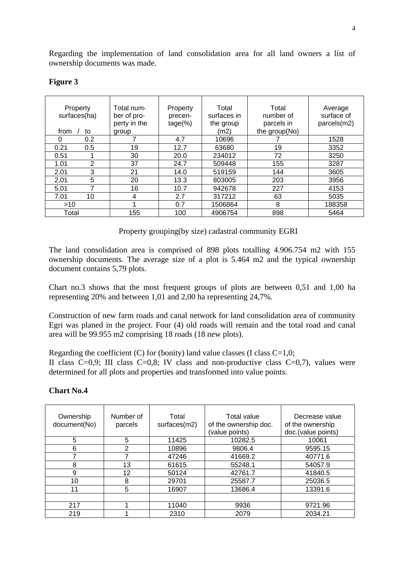Regarding the implementation of land consolidation area for all land owners a list of ownership documents was made.

# **Figure 3**

| Property<br>surfaces(ha) |     | Total num-<br>ber of pro-<br>perty in the | Property<br>precen-<br>$tage(\%)$ | Total<br>surfaces in<br>the group | Total<br>number of<br>parcels in | Average<br>surface of<br>parcels(m2) |
|--------------------------|-----|-------------------------------------------|-----------------------------------|-----------------------------------|----------------------------------|--------------------------------------|
| from                     | to  | group                                     |                                   | (m2)                              | the group(No)                    |                                      |
| 0                        | 0.2 |                                           | 4.7                               | 10696                             |                                  | 1528                                 |
| 0.21                     | 0.5 | 19                                        | 12.7                              | 63680                             | 19                               | 3352                                 |
| 0.51                     |     | 30                                        | 20.0                              | 234012                            | 72                               | 3250                                 |
| 1.01                     | 2   | 37                                        | 24.7                              | 509448                            | 155                              | 3287                                 |
| 2.01                     | 3   | 21                                        | 14.0                              | 519159                            | 144                              | 3605                                 |
| 2.01                     | 5   | 20                                        | 13.3                              | 803005                            | 203                              | 3956                                 |
| 5.01                     | 7   | 16                                        | 10.7                              | 942678                            | 227                              | 4153                                 |
| 7.01                     | 10  | 4                                         | 2.7                               | 317212                            | 63                               | 5035                                 |
| >10                      |     |                                           | 0.7                               | 1506864                           | 8                                | 188358                               |
| Total                    |     | 155                                       | 100                               | 4906754                           | 898                              | 5464                                 |

Property grouping(by size) cadastral community EGRI

The land consolidation area is comprised of 898 plots totalling 4.906.754 m2 with 155 ownership documents. The average size of a plot is 5.464 m2 and the typical ownership document contains 5,79 plots.

Chart no.3 shows that the most frequent groups of plots are between 0,51 and 1,00 ha representing 20% and between 1,01 and 2,00 ha representing 24,7%.

Construction of new farm roads and canal network for land consolidation area of community Egri was planed in the project. Four (4) old roads will remain and the total road and canal area will be 99.955 m2 comprising 18 roads (18 new plots).

Regarding the coefficient (C) for (bonity) land value classes (I class  $C=1,0$ ; II class  $C=0.9$ ; III class  $C=0.8$ ; IV class and non-productive class  $C=0.7$ ), values were determined for all plots and properties and transformed into value points.

| Ownership<br>document(No) | Number of<br>parcels | Total<br>surfaces(m2) | <b>Total value</b><br>of the ownership doc.<br>(value points) | Decrease value<br>of the ownership<br>doc.(value points) |
|---------------------------|----------------------|-----------------------|---------------------------------------------------------------|----------------------------------------------------------|
| 5                         | 5                    | 11425                 | 10282.5                                                       | 10061                                                    |
| 6                         | 2                    | 10896                 | 9806.4                                                        | 9595.15                                                  |
|                           |                      | 47246                 | 41669.2                                                       | 40771.6                                                  |
| 8                         | 13                   | 61615                 | 55248.1                                                       | 54057.9                                                  |
| 9                         | 12                   | 50124                 | 42761.7                                                       | 41840.5                                                  |
| 10                        | 8                    | 29701                 | 25587.7                                                       | 25036.5                                                  |
| 11                        | 5                    | 16907                 | 13686.4                                                       | 13391.6                                                  |
|                           |                      |                       |                                                               |                                                          |
| 217                       |                      | 11040                 | 9936                                                          | 9721.96                                                  |
| 219                       |                      | 2310                  | 2079                                                          | 2034.21                                                  |

#### **Chart No.4**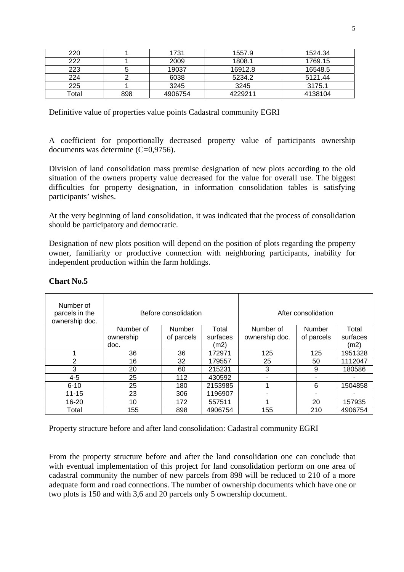| 220   |     | 1731    | 1557.9  | 1524.34 |
|-------|-----|---------|---------|---------|
| 222   |     | 2009    | 1808.1  | 1769.15 |
| 223   |     | 19037   | 16912.8 | 16548.5 |
| 224   |     | 6038    | 5234.2  | 5121.44 |
| 225   |     | 3245    | 3245    | 3175.1  |
| Гоtal | 898 | 4906754 | 4229211 | 4138104 |

Definitive value of properties value points Cadastral community EGRI

A coefficient for proportionally decreased property value of participants ownership documents was determine (C=0,9756).

Division of land consolidation mass premise designation of new plots according to the old situation of the owners property value decreased for the value for overall use. The biggest difficulties for property designation, in information consolidation tables is satisfying participants' wishes.

At the very beginning of land consolidation, it was indicated that the process of consolidation should be participatory and democratic.

Designation of new plots position will depend on the position of plots regarding the property owner, familiarity or productive connection with neighboring participants, inability for independent production within the farm holdings.

| Number of<br>parcels in the<br>ownership doc. | Before consolidation         |            |          | After consolidation |            |          |
|-----------------------------------------------|------------------------------|------------|----------|---------------------|------------|----------|
|                                               | Number of<br>Number<br>Total |            |          | Number of           | Number     | Total    |
|                                               | ownership                    | of parcels | surfaces | ownership doc.      | of parcels | surfaces |
|                                               | doc.                         |            | (m2)     |                     |            | (m2)     |
|                                               | 36                           | 36         | 172971   | 125                 | 125        | 1951328  |
| 2                                             | 16                           | 32         | 179557   | 25                  | 50         | 1112047  |
| 3                                             | 20                           | 60         | 215231   | 3                   | 9          | 180586   |
| $4 - 5$                                       | 25                           | 112        | 430592   | ۰                   |            |          |
| $6 - 10$                                      | 25                           | 180        | 2153985  |                     | 6          | 1504858  |
| $11 - 15$                                     | 23                           | 306        | 1196907  | ۰                   |            |          |
| 16-20                                         | 10                           | 172        | 557511   | 4                   | 20         | 157935   |
| Total                                         | 155                          | 898        | 4906754  | 155                 | 210        | 4906754  |

# **Chart No.5**

Property structure before and after land consolidation: Cadastral community EGRI

From the property structure before and after the land consolidation one can conclude that with eventual implementation of this project for land consolidation perform on one area of cadastral community the number of new parcels from 898 will be reduced to 210 of a more adequate form and road connections. The number of ownership documents which have one or two plots is 150 and with 3,6 and 20 parcels only 5 ownership document.